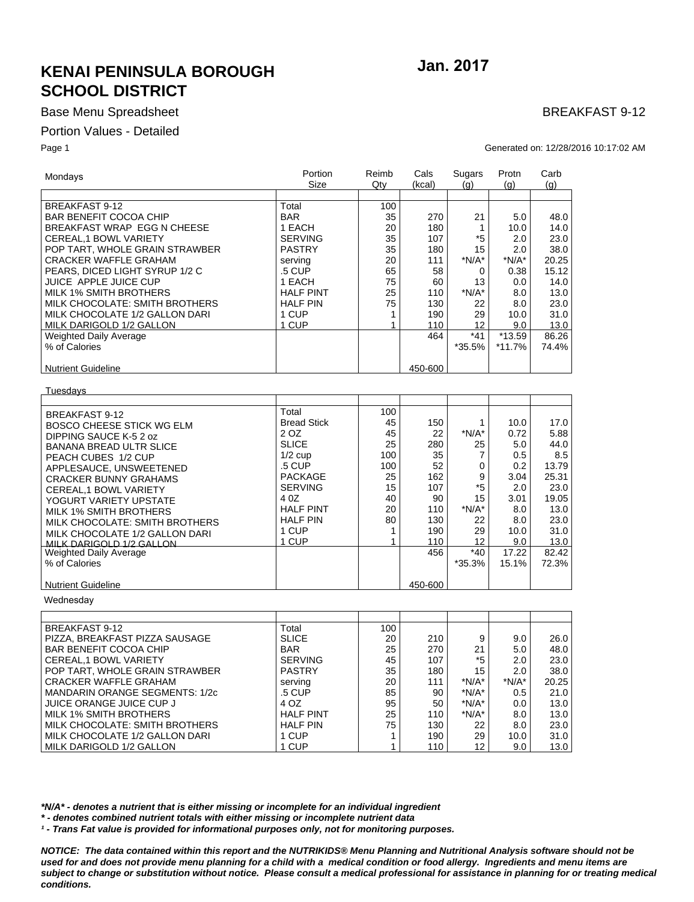## **KENAI PENINSULA BOROUGH SCHOOL DISTRICT**

### **Base Menu Spreadsheet**

#### Portion Values - Detailed

MILK DARIGOLD 1/2 GALLON

Page 1

Jan. 2017

## **BREAKFAST 9-12**

Generated on: 12/28/2016 10:17:02 AM

| Mondays                                 | Portion<br>Size    | Reimb<br>Qty | Cals<br>(kcal) | Sugars<br>$\mathsf{(q)}$ | Protn<br>(a) | Carb<br>(q) |
|-----------------------------------------|--------------------|--------------|----------------|--------------------------|--------------|-------------|
|                                         |                    |              |                |                          |              |             |
| <b>BREAKFAST 9-12</b>                   | Total              | 100          |                |                          |              |             |
| <b>BAR BENEFIT COCOA CHIP</b>           | <b>BAR</b>         | 35           | 270            | 21                       | 5.0          | 48.0        |
| BREAKFAST WRAP EGG N CHEESE             | 1 EACH             | 20           | 180            | 1                        | 10.0         | 14.0        |
| CEREAL.1 BOWL VARIETY                   | <b>SERVING</b>     | 35           | 107            | *5                       | 2.0          | 23.0        |
| POP TART, WHOLE GRAIN STRAWBER          | <b>PASTRY</b>      | 35           | 180            | 15                       | 2.0          | 38.0        |
| <b>CRACKER WAFFLE GRAHAM</b>            | serving            | 20           | 111            | $*N/A*$                  | $*N/A*$      | 20.25       |
| PEARS, DICED LIGHT SYRUP 1/2 C          | .5 CUP             | 65           | 58             | 0                        | 0.38         | 15.12       |
| JUICE APPLE JUICE CUP                   | 1 EACH             | 75           | 60             | 13                       | 0.0          | 14.0        |
| <b>MILK 1% SMITH BROTHERS</b>           | <b>HALF PINT</b>   | 25           | 110            | $*N/A*$                  | 8.0          | 13.0        |
| MILK CHOCOLATE: SMITH BROTHERS          | <b>HALF PIN</b>    | 75           | 130            | 22                       | 8.0          | 23.0        |
| MILK CHOCOLATE 1/2 GALLON DARI          | 1 CUP              | 1            | 190            | 29                       | 10.0         | 31.0        |
| MILK DARIGOLD 1/2 GALLON                | 1 CUP              | 1            | 110            | 12                       | 9.0          | 13.0        |
| <b>Weighted Daily Average</b>           |                    |              | 464            | *41                      | $*13.59$     | 86.26       |
| % of Calories                           |                    |              |                | *35.5%                   | $*11.7%$     | 74.4%       |
|                                         |                    |              |                |                          |              |             |
| <b>Nutrient Guideline</b>               |                    |              | 450-600        |                          |              |             |
| Tuesdays                                |                    |              |                |                          |              |             |
|                                         |                    |              |                |                          |              |             |
| <b>BREAKFAST 9-12</b>                   | Total              | 100          |                |                          |              |             |
| BOSCO CHEESE STICK WG ELM               | <b>Bread Stick</b> | 45           | 150            | 1                        | 10.0         | 17.0        |
| DIPPING SAUCE K-5 2 oz                  | 2 OZ               | 45           | 22             | $*N/A*$                  | 0.72         | 5.88        |
| <b>BANANA BREAD ULTR SLICE</b>          | <b>SLICE</b>       | 25           | 280            | 25                       | 5.0          | 44.0        |
| PEACH CUBES 1/2 CUP                     | $1/2$ cup          | 100          | 35             | 7                        | 0.5          | 8.5         |
| APPLESAUCE, UNSWEETENED                 | .5 CUP             | 100          | 52             | 0                        | 0.2          | 13.79       |
| <b>CRACKER BUNNY GRAHAMS</b>            | <b>PACKAGE</b>     | 25           | 162            | 9                        | 3.04         | 25.31       |
| CEREAL, 1 BOWL VARIETY                  | <b>SERVING</b>     | 15           | 107            | *5                       | 2.0          | 23.0        |
| YOGURT VARIETY UPSTATE                  | 4 0 Z              | 40           | 90             | 15                       | 3.01         | 19.05       |
|                                         | <b>HALF PINT</b>   | 20           | 110            | $*N/A*$                  | 8.0          | 13.0        |
| <b>MILK 1% SMITH BROTHERS</b>           | <b>HALF PIN</b>    | 80           | 130            | 22                       | 8.0          | 23.0        |
| MILK CHOCOLATE: SMITH BROTHERS          | 1 CUP              | 1            | 190            | 29                       | 10.0         | 31.0        |
| MILK CHOCOLATE 1/2 GALLON DARI          | 1 CUP              | $\mathbf{1}$ | 110            | 12                       | 9.0          | 13.0        |
| MILK DARIGOLD 1/2 GALLON                |                    |              | 456            | $*40$                    | 17.22        | 82.42       |
| Weighted Daily Average<br>% of Calories |                    |              |                | *35.3%                   | 15.1%        | 72.3%       |
|                                         |                    |              |                |                          |              |             |
| <b>Nutrient Guideline</b>               |                    |              | 450-600        |                          |              |             |
| Wednesday                               |                    |              |                |                          |              |             |
|                                         |                    |              |                |                          |              |             |
| <b>BREAKFAST 9-12</b>                   | Total              | 100          |                |                          |              |             |
| PIZZA, BREAKFAST PIZZA SAUSAGE          | <b>SLICE</b>       | 20           | 210            | 9                        | 9.0          | 26.0        |
| <b>BAR BENEFIT COCOA CHIP</b>           | <b>BAR</b>         | 25           | 270            | 21                       | 5.0          | 48.0        |
| CEREAL,1 BOWL VARIETY                   | <b>SERVING</b>     | 45           | 107            | *5                       | 2.0          | 23.0        |
| POP TART, WHOLE GRAIN STRAWBER          | <b>PASTRY</b>      | 35           | 180            | 15                       | 2.0          | 38.0        |
| <b>CRACKER WAFFLE GRAHAM</b>            | serving            | 20           | 111            | $*N/A*$                  | $*N/A*$      | 20.25       |
| <b>MANDARIN ORANGE SEGMENTS: 1/2c</b>   | .5 CUP             | 85           | 90             | $*N/A*$                  | 0.5          | 21.0        |
|                                         | 4 OZ               |              |                | $*N/A*$                  |              |             |
| JUICE ORANGE JUICE CUP J                |                    | 95           | 50             |                          | 0.0          | 13.0        |
| <b>MILK 1% SMITH BROTHERS</b>           | <b>HALF PINT</b>   | 25           | 110            | $*N/A*$                  | 8.0          | 13.0        |
| MILK CHOCOLATE: SMITH BROTHERS          | <b>HALF PIN</b>    | 75           | 130            | 22                       | 8.0          | 23.0        |
| MILK CHOCOLATE 1/2 GALLON DARI          | 1 CUP              | 1            | 190            | 29                       | 10.0         | 31.0        |

\*N/A\* - denotes a nutrient that is either missing or incomplete for an individual ingredient

\*- denotes combined nutrient totals with either missing or incomplete nutrient data

<sup>1</sup> - Trans Fat value is provided for informational purposes only, not for monitoring purposes.

1 CUP

NOTICE: The data contained within this report and the NUTRIKIDS® Menu Planning and Nutritional Analysis software should not be used for and does not provide menu planning for a child with a medical condition or food allergy. Ingredients and menu items are subject to change or substitution without notice. Please consult a medical professional for assistance in planning for or treating medical conditions.

110

 $12$ 

 $9.0$ 

 $13.0$